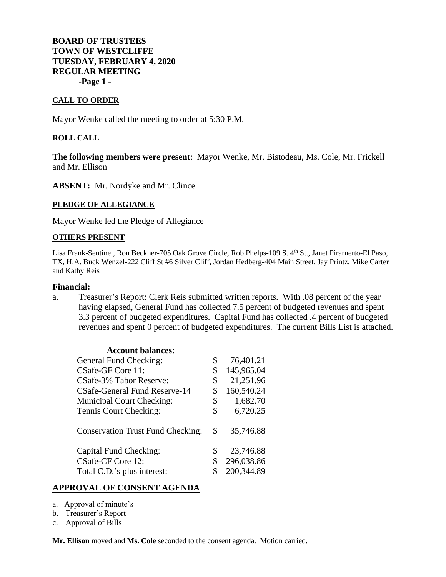## **BOARD OF TRUSTEES TOWN OF WESTCLIFFE TUESDAY, FEBRUARY 4, 2020 REGULAR MEETING -Page 1 -**

#### **CALL TO ORDER**

Mayor Wenke called the meeting to order at 5:30 P.M.

#### **ROLL CALL**

**The following members were present**: Mayor Wenke, Mr. Bistodeau, Ms. Cole, Mr. Frickell and Mr. Ellison

**ABSENT:** Mr. Nordyke and Mr. Clince

#### **PLEDGE OF ALLEGIANCE**

Mayor Wenke led the Pledge of Allegiance

#### **OTHERS PRESENT**

Lisa Frank-Sentinel, Ron Beckner-705 Oak Grove Circle, Rob Phelps-109 S. 4<sup>th</sup> St., Janet Pirarnerto-El Paso, TX, H.A. Buck Wenzel-222 Cliff St #6 Silver Cliff, Jordan Hedberg-404 Main Street, Jay Printz, Mike Carter and Kathy Reis

#### **Financial:**

a. Treasurer's Report: Clerk Reis submitted written reports. With .08 percent of the year having elapsed, General Fund has collected 7.5 percent of budgeted revenues and spent 3.3 percent of budgeted expenditures. Capital Fund has collected .4 percent of budgeted revenues and spent 0 percent of budgeted expenditures. The current Bills List is attached.

| \$<br>76,401.21  |
|------------------|
| \$<br>145,965.04 |
| \$<br>21,251.96  |
| \$<br>160,540.24 |
| \$<br>1,682.70   |
| \$<br>6,720.25   |
| \$<br>35,746.88  |
| \$<br>23,746.88  |
| \$<br>296,038.86 |
| 200,344.89       |
|                  |

#### **APPROVAL OF CONSENT AGENDA**

- a. Approval of minute's
- b. Treasurer's Report
- c. Approval of Bills

**Mr. Ellison** moved and **Ms. Cole** seconded to the consent agenda. Motion carried.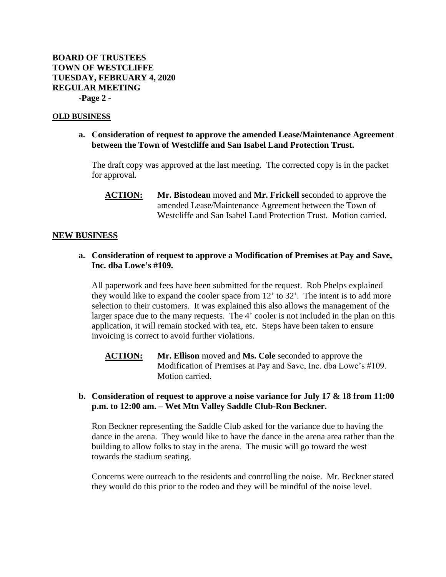#### **OLD BUSINESS**

**a. Consideration of request to approve the amended Lease/Maintenance Agreement between the Town of Westcliffe and San Isabel Land Protection Trust.**

The draft copy was approved at the last meeting. The corrected copy is in the packet for approval.

**ACTION: Mr. Bistodeau** moved and **Mr. Frickell s**econded to approve the amended Lease/Maintenance Agreement between the Town of Westcliffe and San Isabel Land Protection Trust. Motion carried.

#### **NEW BUSINESS**

## **a. Consideration of request to approve a Modification of Premises at Pay and Save, Inc. dba Lowe's #109.**

All paperwork and fees have been submitted for the request. Rob Phelps explained they would like to expand the cooler space from 12' to 32'. The intent is to add more selection to their customers. It was explained this also allows the management of the larger space due to the many requests. The 4' cooler is not included in the plan on this application, it will remain stocked with tea, etc. Steps have been taken to ensure invoicing is correct to avoid further violations.

**ACTION: Mr. Ellison** moved and **Ms. Cole** seconded to approve the Modification of Premises at Pay and Save, Inc. dba Lowe's #109. Motion carried.

## **b. Consideration of request to approve a noise variance for July 17 & 18 from 11:00 p.m. to 12:00 am. – Wet Mtn Valley Saddle Club-Ron Beckner.**

Ron Beckner representing the Saddle Club asked for the variance due to having the dance in the arena. They would like to have the dance in the arena area rather than the building to allow folks to stay in the arena. The music will go toward the west towards the stadium seating.

Concerns were outreach to the residents and controlling the noise. Mr. Beckner stated they would do this prior to the rodeo and they will be mindful of the noise level.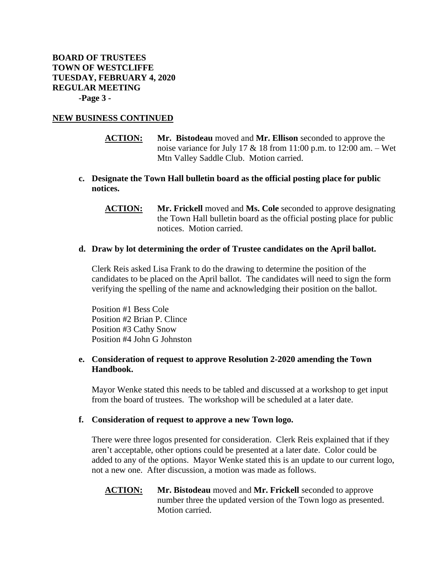## **NEW BUSINESS CONTINUED**

- **ACTION: Mr. Bistodeau** moved and **Mr. Ellison** seconded to approve the noise variance for July 17  $&$  18 from 11:00 p.m. to 12:00 am. – Wet Mtn Valley Saddle Club. Motion carried.
- **c. Designate the Town Hall bulletin board as the official posting place for public notices.**
	- **ACTION: Mr. Frickell** moved and **Ms. Cole** seconded to approve designating the Town Hall bulletin board as the official posting place for public notices. Motion carried.

#### **d. Draw by lot determining the order of Trustee candidates on the April ballot.**

Clerk Reis asked Lisa Frank to do the drawing to determine the position of the candidates to be placed on the April ballot. The candidates will need to sign the form verifying the spelling of the name and acknowledging their position on the ballot.

Position #1 Bess Cole Position #2 Brian P. Clince Position #3 Cathy Snow Position #4 John G Johnston

### **e. Consideration of request to approve Resolution 2-2020 amending the Town Handbook.**

Mayor Wenke stated this needs to be tabled and discussed at a workshop to get input from the board of trustees. The workshop will be scheduled at a later date.

#### **f. Consideration of request to approve a new Town logo.**

There were three logos presented for consideration. Clerk Reis explained that if they aren't acceptable, other options could be presented at a later date. Color could be added to any of the options. Mayor Wenke stated this is an update to our current logo, not a new one. After discussion, a motion was made as follows.

**ACTION: Mr. Bistodeau** moved and **Mr. Frickell** seconded to approve number three the updated version of the Town logo as presented. Motion carried.